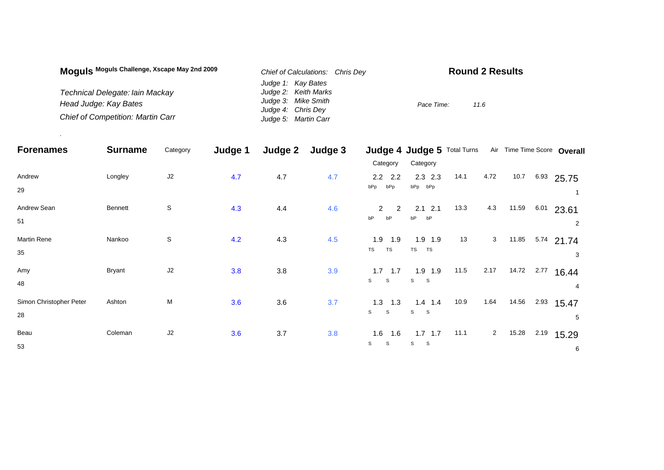| Moguls Moguls Challenge, Xscape May 2nd 2009 | Chief of Calculations: Chris Dev | <b>Round 2 Results</b> |
|----------------------------------------------|----------------------------------|------------------------|
|                                              | Judge 1: Kay Bates               |                        |
| Technical Delegate: lain Mackay              | Judge 2: Keith Marks             |                        |
| Head Judge: Kay Bates                        | Judge 3: Mike Smith              | Pace Time:<br>11.6     |
|                                              | Judge 4: Chris Dey               |                        |
| <b>Chief of Competition: Martin Carr</b>     | Judge 5: Martin Carr             |                        |

.

| <b>Forenames</b>              | <b>Surname</b> | Category       | Judge 1 | Judge 2 | Judge 3 |                                 | Judge 4 Judge 5 Total Turns               |      |                |       |      | Air Time Time Score Overall |
|-------------------------------|----------------|----------------|---------|---------|---------|---------------------------------|-------------------------------------------|------|----------------|-------|------|-----------------------------|
|                               |                |                |         |         |         | Category                        | Category                                  |      |                |       |      |                             |
| Andrew<br>29                  | Longley        | J <sub>2</sub> | 4.7     | 4.7     | 4.7     | $2.2$ $2.2$<br>bPp<br>bPp       | $2.3$ 2.3<br>bPp bPp                      | 14.1 | 4.72           | 10.7  |      | $6.93$ 25.75                |
| Andrew Sean<br>51             | <b>Bennett</b> | S              | 4.3     | 4.4     | 4.6     | $\overline{2}$<br>2<br>bP<br>bP | 2.1<br>2.1<br>bP<br>bP                    | 13.3 | 4.3            | 11.59 | 6.01 | 23.61<br>$\overline{2}$     |
| Martin Rene<br>35             | Nankoo         | S              | 4.2     | 4.3     | 4.5     | 1.9<br>1.9<br>TS<br>TS          | $1.9$ 1.9<br>TS<br>TS                     | 13   | 3              | 11.85 | 5.74 | 21.74<br>3                  |
| Amy<br>48                     | <b>Bryant</b>  | J <sub>2</sub> | 3.8     | 3.8     | 3.9     | $1.7$ 1.7<br>S<br><sub>S</sub>  | $1.9$ 1.9<br>S<br>- S                     | 11.5 | 2.17           | 14.72 | 2.77 | 16.44<br>4                  |
| Simon Christopher Peter<br>28 | Ashton         | M              | 3.6     | 3.6     | 3.7     | 1.3<br>1.3<br>S<br>$\mathsf S$  | $1.4$ 1.4<br>$\mathsf{s}$<br>$\mathbf{s}$ | 10.9 | 1.64           | 14.56 | 2.93 | 15.47<br>5                  |
| Beau<br>53                    | Coleman        | J <sub>2</sub> | 3.6     | 3.7     | 3.8     | 1.6<br>1.6<br>S<br>S            | $1.7$ 1.7<br>S<br>$\mathbf{s}$            | 11.1 | $\overline{a}$ | 15.28 | 2.19 | 15.29<br>6                  |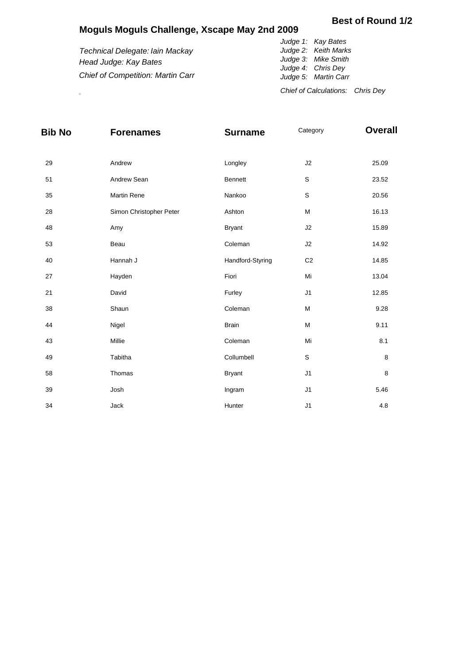## **Moguls Moguls Challenge, Xscape May 2nd 2009**

## **Best of Round 1/2**

|                                          | Judge 1: Kay Bates               |
|------------------------------------------|----------------------------------|
| Technical Delegate: Iain Mackay          | Judge 2: Keith Marks             |
| Head Judge: Kay Bates                    | Judge 3: Mike Smith              |
|                                          | Judge 4: Chris Dey               |
| <b>Chief of Competition: Martin Carr</b> | Judge 5: Martin Carr             |
|                                          | Chief of Calculations: Chris Dev |

| <b>Bib No</b> | <b>Forenames</b>        | <b>Surname</b>   | Category       | <b>Overall</b> |
|---------------|-------------------------|------------------|----------------|----------------|
| 29            | Andrew                  | Longley          | J2             | 25.09          |
| 51            | Andrew Sean             | Bennett          | $\mathbf S$    | 23.52          |
| 35            | Martin Rene             | Nankoo           | $\mathsf S$    | 20.56          |
| 28            | Simon Christopher Peter | Ashton           | M              | 16.13          |
| 48            | Amy                     | <b>Bryant</b>    | $\sf J2$       | 15.89          |
| 53            | Beau                    | Coleman          | J2             | 14.92          |
| 40            | Hannah J                | Handford-Styring | C <sub>2</sub> | 14.85          |
| 27            | Hayden                  | Fiori            | Mi             | 13.04          |
| 21            | David                   | Furley           | J1             | 12.85          |
| 38            | Shaun                   | Coleman          | M              | 9.28           |
| 44            | Nigel                   | <b>Brain</b>     | M              | 9.11           |
| 43            | Millie                  | Coleman          | Mi             | 8.1            |
| 49            | Tabitha                 | Collumbell       | $\mathsf S$    | 8              |
| 58            | Thomas                  | <b>Bryant</b>    | J1             | 8              |
| 39            | Josh                    | Ingram           | J <sub>1</sub> | 5.46           |
| 34            | Jack                    | Hunter           | J1             | 4.8            |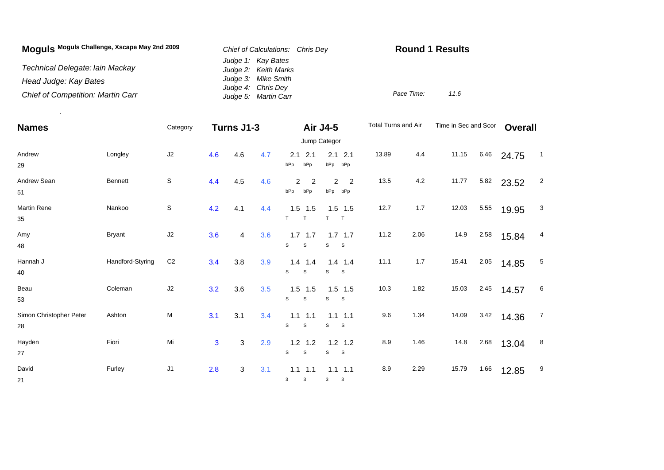| Moguls Moguls Challenge, Xscape May 2nd 2009 | Chief of Calculations: Chris Dev           | <b>Round 1 Results</b> |      |  |  |  |
|----------------------------------------------|--------------------------------------------|------------------------|------|--|--|--|
| Technical Delegate: Iain Mackay              | Judge 1: Kay Bates<br>Judge 2: Keith Marks |                        |      |  |  |  |
| Head Judge: Kay Bates                        | Judge 3: Mike Smith                        |                        |      |  |  |  |
| <b>Chief of Competition: Martin Carr</b>     | Judge 4: Chris Dey<br>Judge 5: Martin Carr | Pace Time:             | 11.6 |  |  |  |

.

| <b>Names</b>                  |                  | Category       | Turns J1-3   |     |     | <b>Air J4-5</b>                          | Jump Categor                   | Total Turns and Air |      | Time in Sec and Scor |      | <b>Overall</b> |                |
|-------------------------------|------------------|----------------|--------------|-----|-----|------------------------------------------|--------------------------------|---------------------|------|----------------------|------|----------------|----------------|
| Andrew<br>29                  | Longley          | J2             | 4.6          | 4.6 | 4.7 | 2.1<br>2.1<br>bPp<br>bPp                 | 2.1<br>2.1<br>bPp<br>bPp       | 13.89               | 4.4  | 11.15                | 6.46 | 24.75          | $\overline{1}$ |
| Andrew Sean<br>51             | <b>Bennett</b>   | $\mathsf S$    | 4.4          | 4.5 | 4.6 | 2<br>2<br>bPp<br>bPp                     | 2<br>$\overline{2}$<br>bPp bPp | 13.5                | 4.2  | 11.77                | 5.82 | 23.52          | $\overline{2}$ |
| <b>Martin Rene</b><br>35      | Nankoo           | $\mbox{\bf S}$ | 4.2          | 4.1 | 4.4 | $1.5$ 1.5<br>T<br>T                      | $1.5$ 1.5<br>T<br>$\top$       | 12.7                | 1.7  | 12.03                | 5.55 | 19.95          | 3              |
| Amy<br>48                     | <b>Bryant</b>    | J2             | 3.6          | 4   | 3.6 | $1.7$ 1.7<br>$\mathsf{s}$<br>$\mathsf s$ | $1.7$ 1.7<br>$\mathbf{s}$<br>S | 11.2                | 2.06 | 14.9                 | 2.58 | 15.84          | 4              |
| Hannah J<br>40                | Handford-Styring | C <sub>2</sub> | 3.4          | 3.8 | 3.9 | $1.4$ 1.4<br>$\mathsf{s}$<br>$\mathsf S$ | $1.4$ 1.4<br>S<br>S            | 11.1                | 1.7  | 15.41                | 2.05 | 14.85          | 5              |
| Beau<br>53                    | Coleman          | J2             | 3.2          | 3.6 | 3.5 | $1.5$ 1.5<br>$\mathsf{s}$<br>S           | $1.5$ 1.5<br>S<br>S            | 10.3                | 1.82 | 15.03                | 2.45 | 14.57          | 6              |
| Simon Christopher Peter<br>28 | Ashton           | М              | 3.1          | 3.1 | 3.4 | $1.1 \t1.1$<br>S<br>S                    | $1.1$ 1.1<br>S<br>-S           | 9.6                 | 1.34 | 14.09                | 3.42 | 14.36          | $\overline{7}$ |
| Hayden<br>27                  | Fiori            | Mi             | $\mathbf{3}$ | 3   | 2.9 | $1.2$ 1.2<br>S<br>S                      | $1.2$ 1.2<br>s<br>$\mathbf{s}$ | 8.9                 | 1.46 | 14.8                 | 2.68 | 13.04          | 8              |
| David<br>21                   | Furley           | J <sub>1</sub> | 2.8          | 3   | 3.1 | $1.1$ 1.1<br>3<br>3                      | $1.1$ 1.1<br>3<br>3            | 8.9                 | 2.29 | 15.79                | 1.66 | 12.85          | 9              |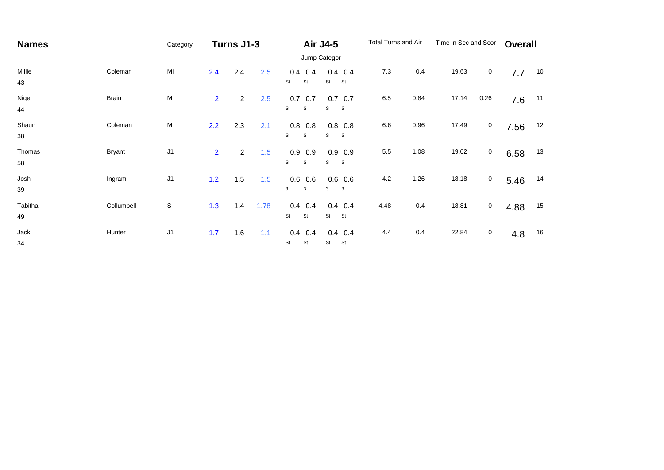| <b>Names</b>  |               | Category       |                | Turns J1-3     |      |                                | <b>Air J4-5</b>                  |         | Total Turns and Air |       | Time in Sec and Scor |      | <b>Overall</b> |
|---------------|---------------|----------------|----------------|----------------|------|--------------------------------|----------------------------------|---------|---------------------|-------|----------------------|------|----------------|
|               |               | Jump Categor   |                |                |      |                                |                                  |         |                     |       |                      |      |                |
| Millie<br>43  | Coleman       | Mi             | 2.4            | 2.4            | 2.5  | $0.4$ 0.4<br>St<br>St          | $0.4$ 0.4<br>St<br>St            | 7.3     | 0.4                 | 19.63 | 0                    | 7.7  | 10             |
| Nigel<br>44   | Brain         | M              | $\overline{2}$ | $\overline{a}$ | 2.5  | 0.7<br>0.7<br>S<br>S           | $0.7\ 0.7$<br>s<br>S             | $6.5\,$ | 0.84                | 17.14 | 0.26                 | 7.6  | 11             |
| Shaun<br>38   | Coleman       | М              | 2.2            | 2.3            | 2.1  | $0.8\ 0.8$<br>S<br>S           | $0.8\ 0.8$<br>s<br>S             | 6.6     | 0.96                | 17.49 | 0                    | 7.56 | 12             |
| Thomas<br>58  | <b>Bryant</b> | J <sub>1</sub> | $\overline{2}$ | $\overline{2}$ | 1.5  | 0.9<br>0.9<br>S<br>$\mathbb S$ | 0.9<br>0.9<br>${\tt S}$<br>S     | 5.5     | 1.08                | 19.02 | $\mathsf{O}$         | 6.58 | 13             |
| Josh<br>39    | Ingram        | J <sub>1</sub> | 1.2            | 1.5            | 1.5  | $0.6$ 0.6<br>3<br>3            | $0.6$ 0.6<br>3 <sup>7</sup><br>3 | $4.2\,$ | 1.26                | 18.18 | $\mathbf 0$          | 5.46 | 14             |
| Tabitha<br>49 | Collumbell    | $\mathbb S$    | 1.3            | 1.4            | 1.78 | $0.4$ 0.4<br>St<br>St          | $0.4$ 0.4<br>St<br>St            | 4.48    | 0.4                 | 18.81 | 0                    | 4.88 | 15             |
| Jack<br>34    | Hunter        | $\sf J1$       | 1.7            | 1.6            | 1.1  | $0.4$ 0.4<br>St<br>St          | $0.4$ 0.4<br>St<br>St            | 4.4     | 0.4                 | 22.84 | 0                    | 4.8  | 16             |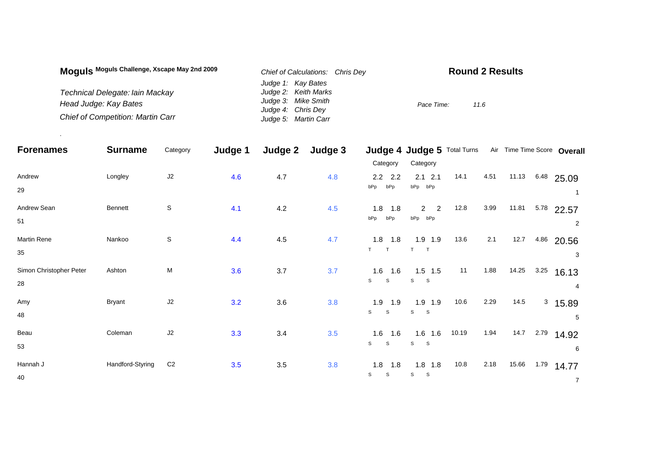| Moguls Moguls Challenge, Xscape May 2nd 2009 | Chief of Calculations: Chris Dev | <b>Round 2 Results</b> |
|----------------------------------------------|----------------------------------|------------------------|
|                                              | Judge 1: Kay Bates               |                        |
| Technical Delegate: lain Mackay              | Judge 2: Keith Marks             |                        |
| Head Judge: Kay Bates                        | Judge 3: Mike Smith              | Pace Time:<br>11.6     |
|                                              | Judge 4: Chris Dey               |                        |
| <b>Chief of Competition: Martin Carr</b>     | Judge 5: Martin Carr             |                        |

.

| <b>Forenames</b>              | <b>Surname</b>   | Category       | Judge 1 | Judge 2 | Judge 3 |                                | Judge 4 Judge 5 Total Turns                 |       |      |       |      | Air Time Time Score Overall |
|-------------------------------|------------------|----------------|---------|---------|---------|--------------------------------|---------------------------------------------|-------|------|-------|------|-----------------------------|
|                               |                  |                |         |         |         | Category                       | Category                                    |       |      |       |      |                             |
| Andrew<br>29                  | Longley          | J2             | 4.6     | 4.7     | 4.8     | $2.2$ 2.2<br>bPp<br>bPp        | $2.1$ 2.1<br>bPp bPp                        | 14.1  | 4.51 | 11.13 | 6.48 | 25.09                       |
| Andrew Sean<br>51             | Bennett          | $\mathbb S$    | 4.1     | 4.2     | 4.5     | 1.8<br>1.8<br>bPp<br>bPp       | $\overline{2}$<br>$\overline{2}$<br>bPp bPp | 12.8  | 3.99 | 11.81 | 5.78 | 22.57<br>2                  |
| Martin Rene<br>35             | Nankoo           | $\mathbb S$    | 4.4     | 4.5     | 4.7     | $1.8$ 1.8<br>T<br>T.           | $1.9$ 1.9<br>T.                             | 13.6  | 2.1  | 12.7  | 4.86 | 20.56<br>3                  |
| Simon Christopher Peter<br>28 | Ashton           | M              | 3.6     | 3.7     | 3.7     | $1.6$ 1.6<br>S<br>S            | $1.5$ 1.5<br>S S                            | 11    | 1.88 | 14.25 | 3.25 | 16.13<br>4                  |
| Amy<br>48                     | <b>Bryant</b>    | J2             | 3.2     | 3.6     | 3.8     | $1.9$ 1.9<br>S<br><sub>S</sub> | $1.9$ 1.9<br>S S                            | 10.6  | 2.29 | 14.5  | 3    | 15.89<br>5                  |
| Beau<br>53                    | Coleman          | J2             | 3.3     | 3.4     | 3.5     | 1.6<br>1.6<br>S<br>S           | $1.6$ 1.6<br>S S                            | 10.19 | 1.94 | 14.7  | 2.79 | 14.92<br>6                  |
| Hannah J<br>40                | Handford-Styring | C <sub>2</sub> | 3.5     | $3.5\,$ | 3.8     | 1.8<br>1.8<br>S<br>S           | $1.8$ 1.8<br>S<br>$\mathbf{s}$              | 10.8  | 2.18 | 15.66 | 1.79 | 14.77<br>$\overline{7}$     |